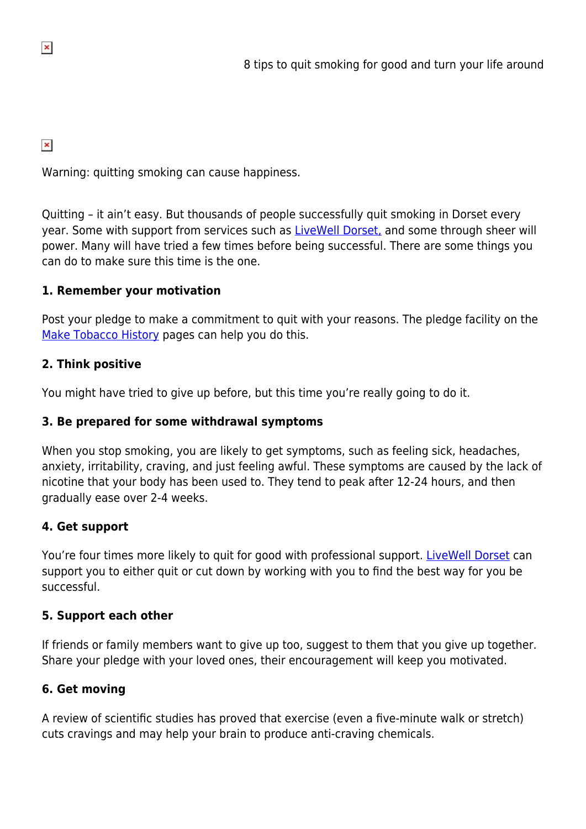$\pmb{\times}$ 

Warning: quitting smoking can cause happiness.

Quitting – it ain't easy. But thousands of people successfully quit smoking in Dorset every year. Some with support from services such as [LiveWell Dorset,](http://www.livewelldorset.co.uk) and some through sheer will power. Many will have tried a few times before being successful. There are some things you can do to make sure this time is the one.

# **1. Remember your motivation**

Post your pledge to make a commitment to quit with your reasons. The pledge facility on the [Make Tobacco History](http://www.maketobaccohistory.co.uk) pages can help you do this.

### **2. Think positive**

You might have tried to give up before, but this time you're really going to do it.

# **3. Be prepared for some withdrawal symptoms**

When you stop smoking, you are likely to get symptoms, such as feeling sick, headaches, anxiety, irritability, craving, and just feeling awful. These symptoms are caused by the lack of nicotine that your body has been used to. They tend to peak after 12-24 hours, and then gradually ease over 2-4 weeks.

# **4. Get support**

You're four times more likely to quit for good with professional support. [LiveWell Dorset](http://www.livewelldorset.co.uk) can support you to either quit or cut down by working with you to find the best way for you be successful.

# **5. Support each other**

If friends or family members want to give up too, suggest to them that you give up together. Share your pledge with your loved ones, their encouragement will keep you motivated.

# **6. Get moving**

A review of scientific studies has proved that exercise (even a five-minute walk or stretch) cuts cravings and may help your brain to produce anti-craving chemicals.

 $\pmb{\times}$